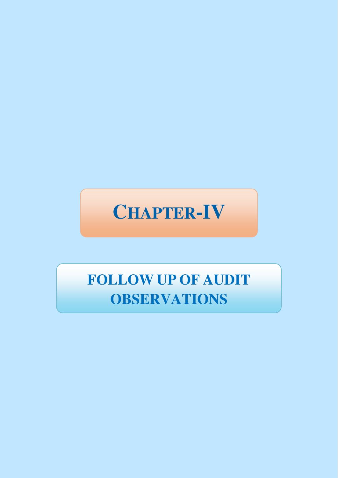# **CHAPTER-IV**

# **FOLLOW UP OF AUDIT OBSERVATIONS**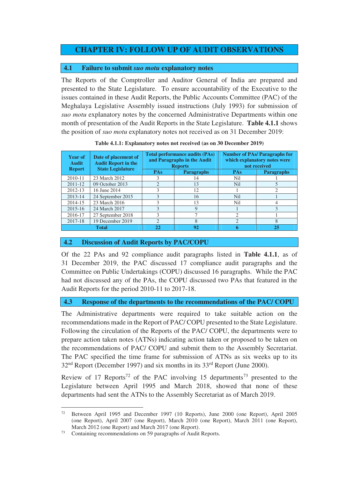# **CHAPTER IV: FOLLOW UP OF AUDIT OBSERVATIONS**

## **4.1 Failure to submit** *suo motu* **explanatory notes**

The Reports of the Comptroller and Auditor General of India are prepared and presented to the State Legislature. To ensure accountability of the Executive to the issues contained in these Audit Reports, the Public Accounts Committee (PAC) of the Meghalaya Legislative Assembly issued instructions (July 1993) for submission of *suo motu* explanatory notes by the concerned Administrative Departments within one month of presentation of the Audit Reports in the State Legislature. **Table 4.1.1** shows the position of *suo motu* explanatory notes not received as on 31 December 2019:

| <b>Year of</b><br><b>Audit</b><br><b>Report</b> | Date of placement of<br><b>Audit Report in the</b><br><b>State Legislature</b> | <b>Total performance audits (PAs)</b><br>and Paragraphs in the Audit<br><b>Reports</b> |                   | <b>Number of PAs/Paragraphs for</b><br>which explanatory notes were<br>not received |                   |
|-------------------------------------------------|--------------------------------------------------------------------------------|----------------------------------------------------------------------------------------|-------------------|-------------------------------------------------------------------------------------|-------------------|
|                                                 |                                                                                | PAs                                                                                    | <b>Paragraphs</b> | PAs                                                                                 | <b>Paragraphs</b> |
| 2010-11                                         | 23 March 2012                                                                  |                                                                                        | 14                | Nil                                                                                 |                   |
| 2011-12                                         | 09 October 2013                                                                | $\mathcal{D}_{\mathcal{A}}$                                                            | 13                | <b>Nil</b>                                                                          |                   |
| 2012-13                                         | 16 June 2014                                                                   |                                                                                        | 12                |                                                                                     |                   |
| 2013-14                                         | 24 September 2015                                                              |                                                                                        | 16                | <b>Nil</b>                                                                          |                   |
| 2014-15                                         | 23 March 2016                                                                  |                                                                                        | 13                | Nil                                                                                 | 4                 |
| 2015-16                                         | 24 March 2017                                                                  |                                                                                        | 9                 |                                                                                     | $\mathcal{E}$     |
| 2016-17                                         | 27 September 2018                                                              | 3                                                                                      |                   | $\mathcal{D}_{\mathcal{A}}$                                                         |                   |
| 2017-18                                         | 19 December 2019                                                               | $\mathcal{D}$                                                                          | 8                 | $\mathcal{D}_{\mathcal{A}}$                                                         | 8                 |
| <b>Total</b>                                    |                                                                                | 22                                                                                     | 92                |                                                                                     | 25                |

**Table 4.1.1: Explanatory notes not received (as on 30 December 2019)** 

#### **4.2 Discussion of Audit Reports by PAC/COPU**

Of the 22 PAs and 92 compliance audit paragraphs listed in **Table 4.1.1**, as of 31 December 2019, the PAC discussed 17 compliance audit paragraphs and the Committee on Public Undertakings (COPU) discussed 16 paragraphs. While the PAC had not discussed any of the PAs, the COPU discussed two PAs that featured in the Audit Reports for the period 2010-11 to 2017-18.

## **4.3 Response of the departments to the recommendations of the PAC/ COPU**

The Administrative departments were required to take suitable action on the recommendations made in the Report of PAC/ COPU presented to the State Legislature. Following the circulation of the Reports of the PAC/ COPU, the departments were to prepare action taken notes (ATNs) indicating action taken or proposed to be taken on the recommendations of PAC/ COPU and submit them to the Assembly Secretariat. The PAC specified the time frame for submission of ATNs as six weeks up to its  $32<sup>nd</sup>$  Report (December 1997) and six months in its  $33<sup>rd</sup>$  Report (June 2000).

Review of 17 Reports<sup>72</sup> of the PAC involving 15 departments<sup>73</sup> presented to the Legislature between April 1995 and March 2018, showed that none of these departments had sent the ATNs to the Assembly Secretariat as of March 2019.

<sup>72</sup> <sup>72</sup> Between April 1995 and December 1997 (10 Reports), June 2000 (one Report), April 2005 (one Report), April 2007 (one Report), March 2010 (one Report), March 2011 (one Report), March 2012 (one Report) and March 2017 (one Report).

<sup>73</sup> Containing recommendations on 59 paragraphs of Audit Reports.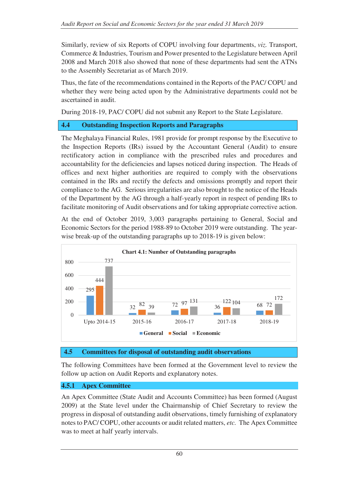Similarly, review of six Reports of COPU involving four departments, *viz.* Transport, Commerce & Industries, Tourism and Power presented to the Legislature between April 2008 and March 2018 also showed that none of these departments had sent the ATNs to the Assembly Secretariat as of March 2019.

Thus, the fate of the recommendations contained in the Reports of the PAC/ COPU and whether they were being acted upon by the Administrative departments could not be ascertained in audit.

During 2018-19, PAC/ COPU did not submit any Report to the State Legislature.

# **4.4 Outstanding Inspection Reports and Paragraphs**

The Meghalaya Financial Rules, 1981 provide for prompt response by the Executive to the Inspection Reports (IRs) issued by the Accountant General (Audit) to ensure rectificatory action in compliance with the prescribed rules and procedures and accountability for the deficiencies and lapses noticed during inspection. The Heads of offices and next higher authorities are required to comply with the observations contained in the IRs and rectify the defects and omissions promptly and report their compliance to the AG. Serious irregularities are also brought to the notice of the Heads of the Department by the AG through a half-yearly report in respect of pending IRs to facilitate monitoring of Audit observations and for taking appropriate corrective action.

At the end of October 2019, 3,003 paragraphs pertaining to General, Social and Economic Sectors for the period 1988-89 to October 2019 were outstanding. The yearwise break-up of the outstanding paragraphs up to 2018-19 is given below:



## **4.5 Committees for disposal of outstanding audit observations**

The following Committees have been formed at the Government level to review the follow up action on Audit Reports and explanatory notes.

# **4.5.1 Apex Committee**

An Apex Committee (State Audit and Accounts Committee) has been formed (August 2009) at the State level under the Chairmanship of Chief Secretary to review the progress in disposal of outstanding audit observations, timely furnishing of explanatory notes to PAC/ COPU, other accounts or audit related matters, *etc.* The Apex Committee was to meet at half yearly intervals.